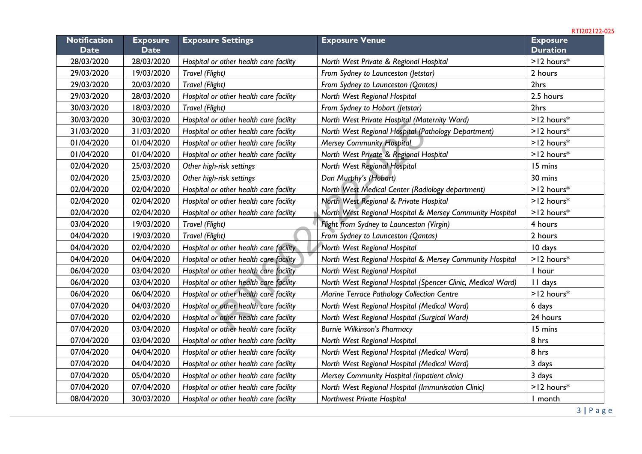| <b>Notification</b><br><b>Date</b> | <b>Exposure</b><br><b>Date</b> | <b>Exposure Settings</b>                                                         | <b>Exposure Venue</b>                                       | <b>Exposure</b><br><b>Duration</b> |
|------------------------------------|--------------------------------|----------------------------------------------------------------------------------|-------------------------------------------------------------|------------------------------------|
| 28/03/2020                         | 28/03/2020                     | Hospital or other health care facility<br>North West Private & Regional Hospital |                                                             | $>12$ hours <sup>*</sup>           |
| 29/03/2020                         | 19/03/2020                     | Travel (Flight)                                                                  | From Sydney to Launceston (Jetstar)                         | 2 hours                            |
| 29/03/2020                         | 20/03/2020                     | Travel (Flight)                                                                  | From Sydney to Launceston (Qantas)                          | 2hrs                               |
| 29/03/2020                         | 28/03/2020                     | Hospital or other health care facility                                           | North West Regional Hospital                                | 2.5 hours                          |
| 30/03/2020                         | 18/03/2020                     | Travel (Flight)                                                                  | From Sydney to Hobart (Jetstar)                             | 2hrs                               |
| 30/03/2020                         | 30/03/2020                     | Hospital or other health care facility                                           | North West Private Hospital (Maternity Ward)                | $>12$ hours*                       |
| 31/03/2020                         | 31/03/2020                     | Hospital or other health care facility                                           | North West Regional Hospital (Pathology Department)         | $>12$ hours*                       |
| 01/04/2020                         | 01/04/2020                     | Hospital or other health care facility                                           | <b>Mersey Community Hospital</b>                            | $>12$ hours*                       |
| 01/04/2020                         | 01/04/2020                     | Hospital or other health care facility                                           | North West Private & Regional Hospital                      | $>12$ hours*                       |
| 02/04/2020                         | 25/03/2020                     | Other high-risk settings                                                         | North West Regional Hospital                                | 15 mins                            |
| 02/04/2020                         | 25/03/2020                     | Other high-risk settings                                                         | Dan Murphy's (Hobart)                                       | 30 mins                            |
| 02/04/2020                         | 02/04/2020                     | Hospital or other health care facility                                           | North West Medical Center (Radiology department)            | $>12$ hours*                       |
| 02/04/2020                         | 02/04/2020                     | Hospital or other health care facility                                           | North West Regional & Private Hospital                      | $>12$ hours*                       |
| 02/04/2020                         | 02/04/2020                     | Hospital or other health care facility                                           | North West Regional Hospital & Mersey Community Hospital    | $>12$ hours*                       |
| 03/04/2020                         | 19/03/2020                     | Travel (Flight)                                                                  | Flight from Sydney to Launceston (Virgin)                   | 4 hours                            |
| 04/04/2020                         | 19/03/2020                     | Travel (Flight)                                                                  | From Sydney to Launceston (Qantas)                          | 2 hours                            |
| 04/04/2020                         | 02/04/2020                     | Hospital or other health care facility                                           | North West Regional Hospital                                | 10 days                            |
| 04/04/2020                         | 04/04/2020                     | Hospital or other health care facility                                           | North West Regional Hospital & Mersey Community Hospital    | $>12$ hours*                       |
| 06/04/2020                         | 03/04/2020                     | Hospital or other health care facility                                           | North West Regional Hospital                                | I hour                             |
| 06/04/2020                         | 03/04/2020                     | Hospital or other health care facility                                           | North West Regional Hospital (Spencer Clinic, Medical Ward) | II days                            |
| 06/04/2020                         | 06/04/2020                     | Hospital or other health care facility                                           | Marine Terrace Pathology Collection Centre                  | $>12$ hours $*$                    |
| 07/04/2020                         | 04/03/2020                     | Hospital or other health care facility                                           | North West Regional Hospital (Medical Ward)                 | 6 days                             |
| 07/04/2020                         | 02/04/2020                     | Hospital or other health care facility                                           | North West Regional Hospital (Surgical Ward)                | 24 hours                           |
| 07/04/2020                         | 03/04/2020                     | Hospital or other health care facility                                           | <b>Burnie Wilkinson's Pharmacy</b>                          | 15 mins                            |
| 07/04/2020                         | 03/04/2020                     | Hospital or other health care facility                                           | North West Regional Hospital                                | 8 hrs                              |
| 07/04/2020                         | 04/04/2020                     | Hospital or other health care facility                                           | North West Regional Hospital (Medical Ward)                 | 8 hrs                              |
| 07/04/2020                         | 04/04/2020                     | Hospital or other health care facility                                           | North West Regional Hospital (Medical Ward)                 | 3 days                             |
| 07/04/2020                         | 05/04/2020                     | Hospital or other health care facility                                           | Mersey Community Hospital (Inpatient clinic)                | 3 days                             |
| 07/04/2020                         | 07/04/2020                     | Hospital or other health care facility                                           | North West Regional Hospital (Immunisation Clinic)          | $>12$ hours*                       |
| 08/04/2020                         | 30/03/2020                     | Hospital or other health care facility                                           | Northwest Private Hospital                                  | I month                            |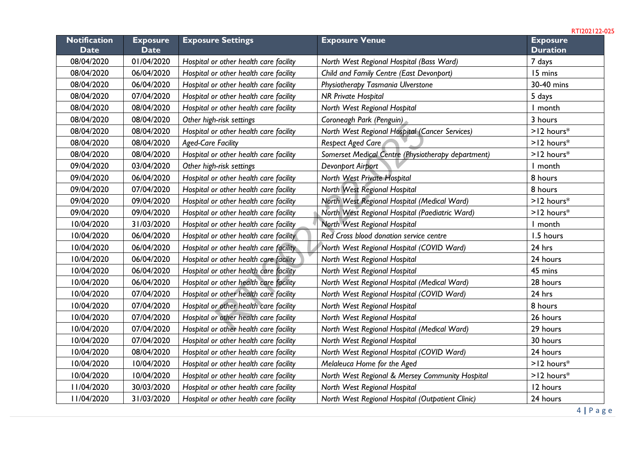| <b>Notification</b><br><b>Date</b> | <b>Exposure</b><br><b>Date</b> | <b>Exposure Settings</b>               | <b>Exposure Venue</b>                              | <b>Exposure</b><br><b>Duration</b> |
|------------------------------------|--------------------------------|----------------------------------------|----------------------------------------------------|------------------------------------|
| 08/04/2020                         | 01/04/2020                     | Hospital or other health care facility | North West Regional Hospital (Bass Ward)           | 7 days                             |
| 08/04/2020                         | 06/04/2020                     | Hospital or other health care facility | Child and Family Centre (East Devonport)           | 15 mins                            |
| 08/04/2020                         | 06/04/2020                     | Hospital or other health care facility | Physiotherapy Tasmania Ulverstone                  | 30-40 mins                         |
| 08/04/2020                         | 07/04/2020                     | Hospital or other health care facility | <b>NR Private Hospital</b>                         | 5 days                             |
| 08/04/2020                         | 08/04/2020                     | Hospital or other health care facility | North West Regional Hospital                       | I month                            |
| 08/04/2020                         | 08/04/2020                     | Other high-risk settings               | Coroneagh Park (Penguin)                           | 3 hours                            |
| 08/04/2020                         | 08/04/2020                     | Hospital or other health care facility | North West Regional Hospital (Cancer Services)     | $>12$ hours*                       |
| 08/04/2020                         | 08/04/2020                     | <b>Aged-Care Facility</b>              | Respect Aged Care                                  | $>12$ hours*                       |
| 08/04/2020                         | 08/04/2020                     | Hospital or other health care facility | Somerset Medical Centre (Physiotherapy department) | $>12$ hours*                       |
| 09/04/2020                         | 03/04/2020                     | Other high-risk settings               | Devonport Airport                                  | I month                            |
| 09/04/2020                         | 06/04/2020                     | Hospital or other health care facility | North West Private Hospital                        | 8 hours                            |
| 09/04/2020                         | 07/04/2020                     | Hospital or other health care facility | North West Regional Hospital                       | 8 hours                            |
| 09/04/2020                         | 09/04/2020                     | Hospital or other health care facility | North West Regional Hospital (Medical Ward)        | $>12$ hours*                       |
| 09/04/2020                         | 09/04/2020                     | Hospital or other health care facility | North West Regional Hospital (Paediatric Ward)     | $>12$ hours*                       |
| 10/04/2020                         | 31/03/2020                     | Hospital or other health care facility | North West Regional Hospital                       | I month                            |
| 10/04/2020                         | 06/04/2020                     | Hospital or other health care facility | Red Cross blood donation service centre            | 1.5 hours                          |
| 10/04/2020                         | 06/04/2020                     | Hospital or other health care facility | North West Regional Hospital (COVID Ward)          | 24 hrs                             |
| 10/04/2020                         | 06/04/2020                     | Hospital or other health care facility | North West Regional Hospital                       | 24 hours                           |
| 10/04/2020                         | 06/04/2020                     | Hospital or other health care facility | North West Regional Hospital                       | 45 mins                            |
| 10/04/2020                         | 06/04/2020                     | Hospital or other health care facility | North West Regional Hospital (Medical Ward)        | 28 hours                           |
| 10/04/2020                         | 07/04/2020                     | Hospital or other health care facility | North West Regional Hospital (COVID Ward)          | 24 hrs                             |
| 10/04/2020                         | 07/04/2020                     | Hospital or other health care facility | North West Regional Hospital                       | 8 hours                            |
| 10/04/2020                         | 07/04/2020                     | Hospital or other health care facility | North West Regional Hospital                       | 26 hours                           |
| 10/04/2020                         | 07/04/2020                     | Hospital or other health care facility | North West Regional Hospital (Medical Ward)        | 29 hours                           |
| 10/04/2020                         | 07/04/2020                     | Hospital or other health care facility | North West Regional Hospital                       | 30 hours                           |
| 10/04/2020                         | 08/04/2020                     | Hospital or other health care facility | North West Regional Hospital (COVID Ward)          | 24 hours                           |
| 10/04/2020                         | 10/04/2020                     | Hospital or other health care facility | Melaleuca Home for the Aged                        | $>12$ hours*                       |
| 10/04/2020                         | 10/04/2020                     | Hospital or other health care facility | North West Regional & Mersey Community Hospital    | $>12$ hours*                       |
| II/04/2020                         | 30/03/2020                     | Hospital or other health care facility | North West Regional Hospital                       | 12 hours                           |
| II/04/2020                         | 31/03/2020                     | Hospital or other health care facility | North West Regional Hospital (Outpatient Clinic)   | 24 hours                           |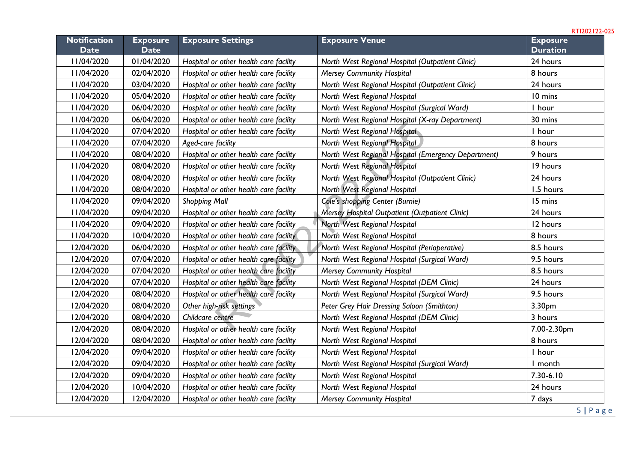**Notification Date Exposure Date Exposure Settings Exposure Venue Exposure Duration** 11/04/2020 01/04/2020 *Hospital or other health care facility North West Regional Hospital (Outpatient Clinic)* 24 hours 11/04/2020 02/04/2020 *Hospital or other health care facility Mersey Community Hospital* 8 hours 11/04/2020 03/04/2020 *Hospital or other health care facility North West Regional Hospital (Outpatient Clinic)* 24 hours 11/04/2020 05/04/2020 *Hospital or other health care facility North West Regional Hospital* 10 mins 11/04/2020 06/04/2020 *Hospital or other health care facility North West Regional Hospital (Surgical Ward)* 1 hour 11/04/2020 06/04/2020 *Hospital or other health care facility North West Regional Hospital (X-ray Department)* 30 mins 11/04/2020 07/04/2020 *Hospital or other health care facility North West Regional Hospital* 1 hour 11/04/2020 07/04/2020 *Aged-care facility North West Regional Hospital* 8 hours 11/04/2020 08/04/2020 *Hospital or other health care facility North West Regional Hospital (Emergency Department)* 9 hours 11/04/2020 08/04/2020 *Hospital or other health care facility North West Regional Hospital* 19 hours 11/04/2020 08/04/2020 *Hospital or other health care facility North West Regional Hospital (Outpatient Clinic)* 24 hours 11/04/2020 08/04/2020 *Hospital or other health care facility North West Regional Hospital* 1.5 hours 11/04/2020 09/04/2020 *Shopping Mall Cole's shopping Center (Burnie)* 15 mins 11/04/2020 09/04/2020 *Hospital or other health care facility Mersey Hospital Outpatient (Outpatient Clinic)* 24 hours 11/04/2020 09/04/2020 *Hospital or other health care facility North West Regional Hospital* 12 hours 11/04/2020 10/04/2020 *Hospital or other health care facility North West Regional Hospital* 8 hours 12/04/2020 06/04/2020 *Hospital or other health care facility North West Regional Hospital (Perioperative)* 8.5 hours 12/04/2020 07/04/2020 *Hospital or other health care facility North West Regional Hospital (Surgical Ward)* 9.5 hours 12/04/2020 07/04/2020 *Hospital or other health care facility Mersey Community Hospital* 8.5 hours 12/04/2020 07/04/2020 *Hospital or other health care facility North West Regional Hospital (DEM Clinic)* 24 hours 12/04/2020 08/04/2020 *Hospital or other health care facility North West Regional Hospital (Surgical Ward)* 9.5 hours 12/04/2020 08/04/2020 *Other high-risk settings Peter Grey Hair Dressing Saloon (Smithton)* 3.30pm 12/04/2020 08/04/2020 *Childcare centre North West Regional Hospital (DEM Clinic)* 3 hours 12/04/2020 08/04/2020 *Hospital or other health care facility North West Regional Hospital* 7.00-2.30pm 12/04/2020 08/04/2020 *Hospital or other health care facility North West Regional Hospital* 8 hours 12/04/2020 09/04/2020 *Hospital or other health care facility North West Regional Hospital* 1 hour 12/04/2020 09/04/2020 *Hospital or other health care facility North West Regional Hospital (Surgical Ward)* 1 month 12/04/2020 09/04/2020 *Hospital or other health care facility North West Regional Hospital* 7.30-6.10 12/04/2020 10/04/2020 *Hospital or other health care facility North West Regional Hospital* 24 hours 12/04/2020 12/04/2020 *Hospital or other health care facility Mersey Community Hospital* 7 days r other health care facility<br>
The metallic content of the metallic content of the health care facility<br>
North West Regional Hospital<br>
The metallic content health care facility<br>
North West Regional Hospital<br>
The metallic co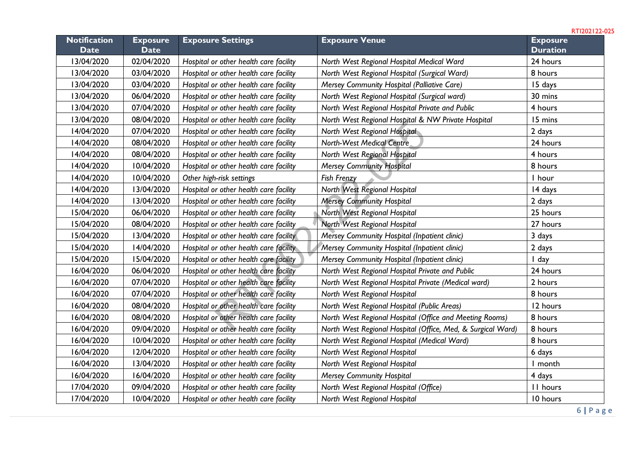**Notification Date Exposure Date Exposure Settings Exposure Venue Exposure Duration** 13/04/2020 02/04/2020 *Hospital or other health care facility North West Regional Hospital Medical Ward* 24 hours 13/04/2020 03/04/2020 *Hospital or other health care facility North West Regional Hospital (Surgical Ward)* 8 hours 13/04/2020 03/04/2020 *Hospital or other health care facility Mersey Community Hospital (Palliative Care)* 15 days 13/04/2020 06/04/2020 *Hospital or other health care facility North West Regional Hospital (Surgical ward)* 30 mins 13/04/2020 07/04/2020 *Hospital or other health care facility North West Regional Hospital Private and Public* 4 hours 13/04/2020 08/04/2020 *Hospital or other health care facility North West Regional Hospital & NW Private Hospital* 15 mins 14/04/2020 07/04/2020 *Hospital or other health care facility North West Regional Hospital* 2 days 14/04/2020 08/04/2020 *Hospital or other health care facility North-West Medical Centre* 24 hours 14/04/2020 08/04/2020 *Hospital or other health care facility North West Regional Hospital* 4 hours 14/04/2020 10/04/2020 *Hospital or other health care facility Mersey Community Hospital* 8 hours 14/04/2020 10/04/2020 *Other high-risk settings Fish Frenzy* 1 hour 14/04/2020 13/04/2020 *Hospital or other health care facility North West Regional Hospital* 14 days 14/04/2020 13/04/2020 *Hospital or other health care facility Mersey Community Hospital* 2 days 15/04/2020 06/04/2020 *Hospital or other health care facility North West Regional Hospital* 25 hours 15/04/2020 08/04/2020 *Hospital or other health care facility North West Regional Hospital* 27 hours 15/04/2020 13/04/2020 *Hospital or other health care facility Mersey Community Hospital (Inpatient clinic)* 3 days 15/04/2020 14/04/2020 *Hospital or other health care facility Mersey Community Hospital (Inpatient clinic)* 2 days 15/04/2020 15/04/2020 *Hospital or other health care facility Mersey Community Hospital (Inpatient clinic)* 1 day 16/04/2020 06/04/2020 *Hospital or other health care facility North West Regional Hospital Private and Public* 24 hours 16/04/2020 07/04/2020 *Hospital or other health care facility North West Regional Hospital Private (Medical ward)* 2 hours 16/04/2020 07/04/2020 *Hospital or other health care facility North West Regional Hospital* 8 hours 16/04/2020 08/04/2020 *Hospital or other health care facility North West Regional Hospital (Public Areas)* 12 hours 16/04/2020 08/04/2020 *Hospital or other health care facility North West Regional Hospital (Office and Meeting Rooms)* 8 hours 16/04/2020 09/04/2020 *Hospital or other health care facility North West Regional Hospital (Office, Med, & Surgical Ward)* 8 hours 16/04/2020 10/04/2020 *Hospital or other health care facility North West Regional Hospital (Medical Ward)* 8 hours 16/04/2020 12/04/2020 *Hospital or other health care facility North West Regional Hospital* 6 days 16/04/2020 13/04/2020 *Hospital or other health care facility North West Regional Hospital* 1 month 16/04/2020 16/04/2020 *Hospital or other health care facility Mersey Community Hospital* 4 days 17/04/2020 09/04/2020 *Hospital or other health care facility North West Regional Hospital (Office)* 11 hours 17/04/2020 10/04/2020 *Hospital or other health care facility North West Regional Hospital* 10 hours r other health care facility<br>
To the health care facility North West Regional Hospital<br>
To the health care facility North West Regional Hospital<br>
To the health care facility Mersey Community Hospital<br>
To the health care fa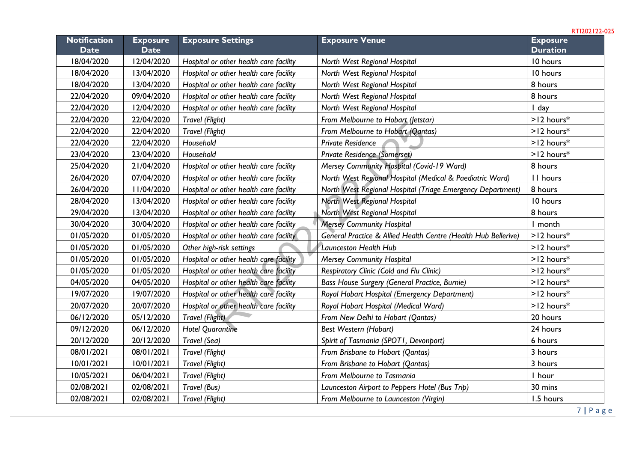| <b>Notification</b><br><b>Date</b> | <b>Exposure</b><br><b>Date</b> | <b>Exposure Settings</b>               | <b>Exposure Venue</b>                                          | <b>Exposure</b><br><b>Duration</b> |
|------------------------------------|--------------------------------|----------------------------------------|----------------------------------------------------------------|------------------------------------|
| 18/04/2020                         | 12/04/2020                     | Hospital or other health care facility | North West Regional Hospital                                   | 10 hours                           |
| 18/04/2020                         | 13/04/2020                     | Hospital or other health care facility | North West Regional Hospital                                   | 10 hours                           |
| 18/04/2020                         | 13/04/2020                     | Hospital or other health care facility | North West Regional Hospital                                   | 8 hours                            |
| 22/04/2020                         | 09/04/2020                     | Hospital or other health care facility | North West Regional Hospital                                   | 8 hours                            |
| 22/04/2020                         | 12/04/2020                     | Hospital or other health care facility | North West Regional Hospital                                   | I day                              |
| 22/04/2020                         | 22/04/2020                     | Travel (Flight)                        | From Melbourne to Hobart (Jetstar)                             | $>12$ hours <sup>*</sup>           |
| 22/04/2020                         | 22/04/2020                     | Travel (Flight)                        | From Melbourne to Hobart (Qantas)                              | $>12$ hours <sup>*</sup>           |
| 22/04/2020                         | 22/04/2020                     | Household                              | <b>Private Residence</b>                                       | $>12$ hours*                       |
| 23/04/2020                         | 23/04/2020                     | Household                              | Private Residence (Somerset)                                   | $>12$ hours $*$                    |
| 25/04/2020                         | 21/04/2020                     | Hospital or other health care facility | Mersey Community Hospital (Covid-19 Ward)                      | 8 hours                            |
| 26/04/2020                         | 07/04/2020                     | Hospital or other health care facility | North West Regional Hospital (Medical & Paediatric Ward)       | II hours                           |
| 26/04/2020                         | II/04/2020                     | Hospital or other health care facility | North West Regional Hospital (Triage Emergency Department)     | 8 hours                            |
| 28/04/2020                         | 13/04/2020                     | Hospital or other health care facility | <b>North West Regional Hospital</b>                            | 10 hours                           |
| 29/04/2020                         | 13/04/2020                     | Hospital or other health care facility | North West Regional Hospital                                   | 8 hours                            |
| 30/04/2020                         | 30/04/2020                     | Hospital or other health care facility | <b>Mersey Community Hospital</b>                               | I month                            |
| 01/05/2020                         | 01/05/2020                     | Hospital or other health care facility | General Practice & Allied Health Centre (Health Hub Bellerive) | $>12$ hours <sup>*</sup>           |
| 01/05/2020                         | 01/05/2020                     | Other high-risk settings               | <b>Launceston Health Hub</b>                                   | $>12$ hours*                       |
| 01/05/2020                         | 01/05/2020                     | Hospital or other health care facility | <b>Mersey Community Hospital</b>                               | $>12$ hours*                       |
| 01/05/2020                         | 01/05/2020                     | Hospital or other health care facility | Respiratory Clinic (Cold and Flu Clinic)                       | $>12$ hours <sup>*</sup>           |
| 04/05/2020                         | 04/05/2020                     | Hospital or other health care facility | Bass House Surgery (General Practice, Burnie)                  | $>12$ hours $*$                    |
| 19/07/2020                         | 19/07/2020                     | Hospital or other health care facility | Royal Hobart Hospital (Emergency Department)                   | $>12$ hours $*$                    |
| 20/07/2020                         | 20/07/2020                     | Hospital or other health care facility | Royal Hobart Hospital (Medical Ward)                           | $>12$ hours <sup>*</sup>           |
| 06/12/2020                         | 05/12/2020                     | Travel (Flight)                        | From New Delhi to Hobart (Qantas)                              | 20 hours                           |
| 09/12/2020                         | 06/12/2020                     | <b>Hotel Quarantine</b>                | Best Western (Hobart)                                          | 24 hours                           |
| 20/12/2020                         | 20/12/2020                     | Travel (Sea)                           | Spirit of Tasmania (SPOTI, Devonport)                          | 6 hours                            |
| 08/01/2021                         | 08/01/2021                     | Travel (Flight)                        | From Brisbane to Hobart (Qantas)                               | 3 hours                            |
| 10/01/2021                         | 10/01/2021                     | Travel (Flight)                        | From Brisbane to Hobart (Qantas)                               | 3 hours                            |
| 10/05/2021                         | 06/04/2021                     | Travel (Flight)                        | From Melbourne to Tasmania                                     | I hour                             |
| 02/08/2021                         | 02/08/2021                     | Travel (Bus)                           | Launceston Airport to Peppers Hotel (Bus Trip)                 | 30 mins                            |
| 02/08/2021                         | 02/08/2021                     | Travel (Flight)                        | From Melbourne to Launceston (Virgin)                          | 1.5 hours                          |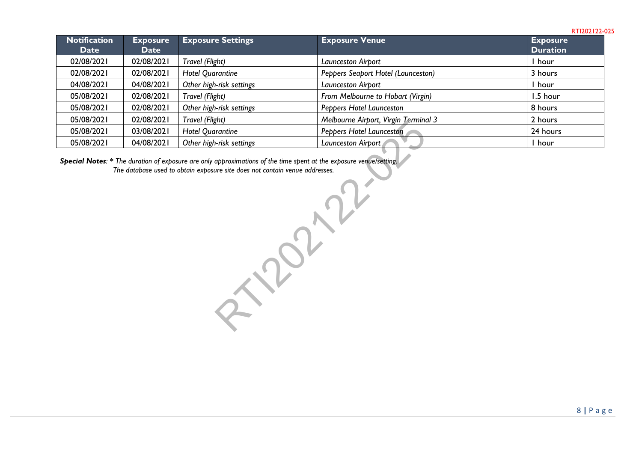| <b>Notification</b><br><b>Date</b> | <b>Exposure</b><br><b>Date</b> | <b>Exposure Settings</b> | <b>Exposure Venue</b>                | <b>Exposure</b><br><b>Duration</b> |
|------------------------------------|--------------------------------|--------------------------|--------------------------------------|------------------------------------|
| 02/08/2021                         | 02/08/2021                     | Travel (Flight)          | Launceston Airport                   | hour                               |
| 02/08/2021                         | 02/08/2021                     | <b>Hotel Quarantine</b>  | Peppers Seaport Hotel (Launceston)   | 3 hours                            |
| 04/08/2021                         | 04/08/2021                     | Other high-risk settings | Launceston Airport                   | hour                               |
| 05/08/2021                         | 02/08/2021                     | Travel (Flight)          | From Melbourne to Hobart (Virgin)    | 1.5 hour                           |
| 05/08/2021                         | 02/08/2021                     | Other high-risk settings | Peppers Hotel Launceston             | 8 hours                            |
| 05/08/2021                         | 02/08/2021                     | Travel (Flight)          | Melbourne Airport, Virgin Terminal 3 | 2 hours                            |
| 05/08/2021                         | 03/08/2021                     | <b>Hotel Quarantine</b>  | Peppers Hotel Launceston             | 24 hours                           |
| 05/08/2021                         | 04/08/2021                     | Other high-risk settings | Launceston Airport                   | hour                               |

*Special Notes: \* The duration of exposure are only approximations of the time spent at the exposure venue/setting. The database used to obtain exposure site does not contain venue addresses.* roximations of the time spent at the exposure venuelset<br>ite does not contain venue addresses.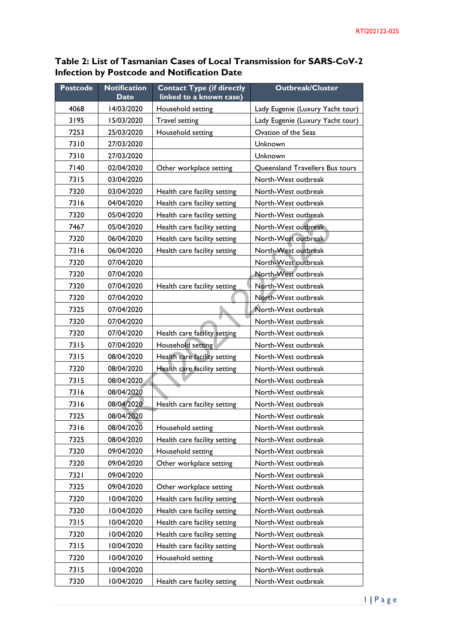## **Table 2: List of Tasmanian Cases of Local Transmission for SARS-CoV-2 Infection by Postcode and Notification Date**

| <b>Postcode</b> | <b>Notification</b> | <b>Contact Type (if directly</b> | <b>Outbreak/Cluster</b>          |
|-----------------|---------------------|----------------------------------|----------------------------------|
|                 | <b>Date</b>         | linked to a known case)          |                                  |
| 4068            | 14/03/2020          | Household setting                | Lady Eugenie (Luxury Yacht tour) |
| 3195            | 15/03/2020          | <b>Travel setting</b>            | Lady Eugenie (Luxury Yacht tour) |
| 7253            | 25/03/2020          | Household setting                | Ovation of the Seas              |
| 7310            | 27/03/2020          |                                  | Unknown                          |
| 7310            | 27/03/2020          |                                  | Unknown                          |
| 7140            | 02/04/2020          | Other workplace setting          | Queensland Travellers Bus tours  |
| 7315            | 03/04/2020          |                                  | North-West outbreak              |
| 7320            | 03/04/2020          | Health care facility setting     | North-West outbreak              |
| 7316            | 04/04/2020          | Health care facility setting     | North-West outbreak              |
| 7320            | 05/04/2020          | Health care facility setting     | North-West outbreak              |
| 7467            | 05/04/2020          | Health care facility setting     | North-West outbreak              |
| 7320            | 06/04/2020          | Health care facility setting     | North-West outbreak              |
| 7316            | 06/04/2020          | Health care facility setting     | North-West outbreak              |
| 7320            | 07/04/2020          |                                  | North-West outbreak              |
| 7320            | 07/04/2020          |                                  | North-West outbreak              |
| 7320            | 07/04/2020          | Health care facility setting     | North-West outbreak              |
| 7320            | 07/04/2020          |                                  | North-West outbreak              |
| 7325            | 07/04/2020          |                                  | North-West outbreak              |
| 7320            | 07/04/2020          |                                  | North-West outbreak              |
| 7320            | 07/04/2020          | Health care facility setting     | North-West outbreak              |
| 7315            | 07/04/2020          | Household setting                | North-West outbreak              |
| 7315            | 08/04/2020          | Health care facility setting     | North-West outbreak              |
| 7320            | 08/04/2020          | Health care facility setting     | North-West outbreak              |
| 7315            | 08/04/2020          |                                  | North-West outbreak              |
| 7316            | 08/04/2020          |                                  | North-West outbreak              |
| 7316            | 08/04/2020          | Health care facility setting     | North-West outbreak              |
| 7325            | 08/04/2020          |                                  | North-West outbreak              |
| 7316            | 08/04/2020          | Household setting                | North-West outbreak              |
| 7325            | 08/04/2020          | Health care facility setting     | North-West outbreak              |
| 7320            | 09/04/2020          | Household setting                | North-West outbreak              |
| 7320            | 09/04/2020          | Other workplace setting          | North-West outbreak              |
| 7321            | 09/04/2020          |                                  | North-West outbreak              |
| 7325            | 09/04/2020          | Other workplace setting          | North-West outbreak              |
| 7320            | 10/04/2020          | Health care facility setting     | North-West outbreak              |
| 7320            | 10/04/2020          | Health care facility setting     | North-West outbreak              |
| 7315            | 10/04/2020          | Health care facility setting     | North-West outbreak              |
| 7320            | 10/04/2020          | Health care facility setting     | North-West outbreak              |
| 7315            | 10/04/2020          | Health care facility setting     | North-West outbreak              |
| 7320            | 10/04/2020          | Household setting                | North-West outbreak              |
| 7315            | 10/04/2020          |                                  | North-West outbreak              |
| 7320            | 10/04/2020          | Health care facility setting     | North-West outbreak              |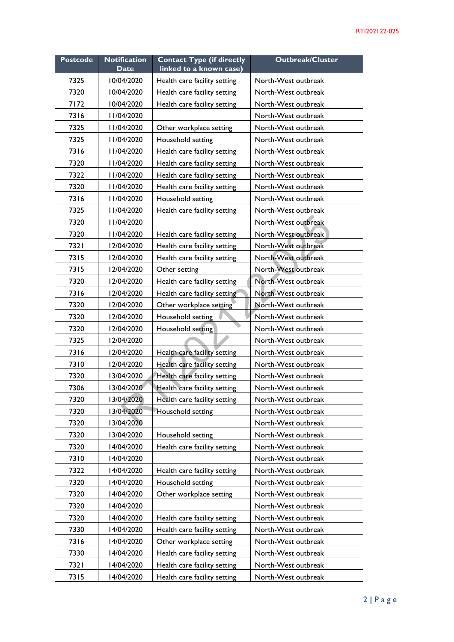| <b>Postcode</b> | <b>Notification</b><br><b>Date</b> | <b>Contact Type (if directly</b><br>linked to a known case) | <b>Outbreak/Cluster</b> |
|-----------------|------------------------------------|-------------------------------------------------------------|-------------------------|
|                 |                                    |                                                             |                         |
| 7325            | 10/04/2020                         | Health care facility setting                                | North-West outbreak     |
| 7320            | 10/04/2020                         | Health care facility setting                                | North-West outbreak     |
| 7172            | 10/04/2020                         | Health care facility setting                                | North-West outbreak     |
| 7316            | II/04/2020                         |                                                             | North-West outbreak     |
| 7325            | II/04/2020                         | Other workplace setting                                     | North-West outbreak     |
| 7325            | II/04/2020                         | Household setting                                           | North-West outbreak     |
| 7316            | II/04/2020                         | Health care facility setting                                | North-West outbreak     |
| 7320            | II/04/2020                         | Health care facility setting                                | North-West outbreak     |
| 7322            | II/04/2020                         | Health care facility setting                                | North-West outbreak     |
| 7320            | II/04/2020                         | Health care facility setting                                | North-West outbreak     |
| 7316            | II/04/2020                         | Household setting                                           | North-West outbreak     |
| 7325            | II/04/2020                         | Health care facility setting                                | North-West outbreak     |
| 7320            | II/04/2020                         |                                                             | North-West outbreak     |
| 7320            | II/04/2020                         | Health care facility setting                                | North-West outbreak     |
| 7321            | 12/04/2020                         | Health care facility setting                                | North-West outbreak     |
| 7315            | 12/04/2020                         | Health care facility setting                                | North-West outbreak     |
| 7315            | 12/04/2020                         | Other setting                                               | North-West outbreak     |
| 7320            | 12/04/2020                         | Health care facility setting                                | North-West outbreak     |
| 7316            | 12/04/2020                         | Health care facility setting                                | North-West outbreak     |
| 7320            | 12/04/2020                         | Other workplace setting                                     | North-West outbreak     |
| 7320            | 12/04/2020                         | Household setting                                           | North-West outbreak     |
| 7320            | 12/04/2020                         | Household setting                                           | North-West outbreak     |
| 7325            | 12/04/2020                         |                                                             | North-West outbreak     |
| 7316            | 12/04/2020                         | Health care facility setting                                | North-West outbreak     |
| 7310            | 12/04/2020                         | Health care facility setting                                | North-West outbreak     |
| 7320            | 13/04/2020                         | Health care facility setting                                | North-West outbreak     |
| 7306            | 13/04/2020                         | Health care facility setting                                | North-West outbreak     |
| 7320            | 13/04/2020                         | Health care facility setting                                | North-West outbreak     |
| 7320            | 13/04/2020                         | Household setting                                           | North-West outbreak     |
| 7320            | 13/04/2020                         |                                                             | North-West outbreak     |
| 7320            | 13/04/2020                         | Household setting                                           | North-West outbreak     |
| 7320            | 14/04/2020                         | Health care facility setting                                | North-West outbreak     |
| 7310            | 14/04/2020                         |                                                             | North-West outbreak     |
| 7322            | 14/04/2020                         | Health care facility setting                                | North-West outbreak     |
| 7320            | 14/04/2020                         | Household setting                                           | North-West outbreak     |
| 7320            | 14/04/2020                         | Other workplace setting                                     | North-West outbreak     |
| 7320            | 14/04/2020                         |                                                             | North-West outbreak     |
| 7320            | 14/04/2020                         | Health care facility setting                                | North-West outbreak     |
| 7330            | 14/04/2020                         | Health care facility setting                                | North-West outbreak     |
| 7316            | 14/04/2020                         | Other workplace setting                                     | North-West outbreak     |
| 7330            | 14/04/2020                         | Health care facility setting                                | North-West outbreak     |
| 7321            | 14/04/2020                         | Health care facility setting                                | North-West outbreak     |
| 7315            | 14/04/2020                         | Health care facility setting                                | North-West outbreak     |
|                 |                                    |                                                             |                         |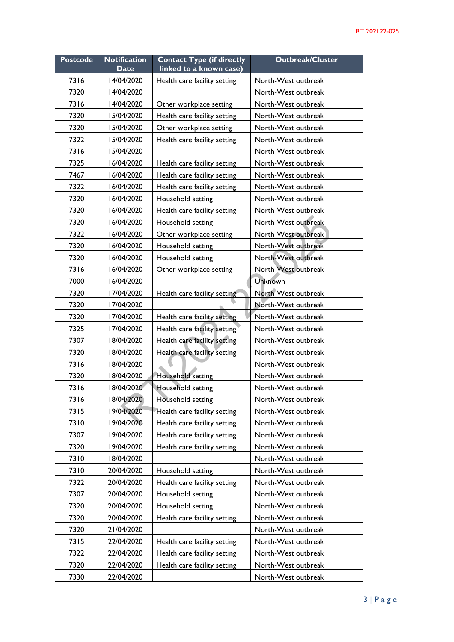| <b>Postcode</b> | <b>Notification</b> | <b>Contact Type (if directly</b> | <b>Outbreak/Cluster</b> |
|-----------------|---------------------|----------------------------------|-------------------------|
|                 | <b>Date</b>         | linked to a known case)          |                         |
| 7316            | 14/04/2020          | Health care facility setting     | North-West outbreak     |
| 7320            | 14/04/2020          |                                  | North-West outbreak     |
| 7316            | 14/04/2020          | Other workplace setting          | North-West outbreak     |
| 7320            | 15/04/2020          | Health care facility setting     | North-West outbreak     |
| 7320            | 15/04/2020          | Other workplace setting          | North-West outbreak     |
| 7322            | 15/04/2020          | Health care facility setting     | North-West outbreak     |
| 7316            | 15/04/2020          |                                  | North-West outbreak     |
| 7325            | 16/04/2020          | Health care facility setting     | North-West outbreak     |
| 7467            | 16/04/2020          | Health care facility setting     | North-West outbreak     |
| 7322            | 16/04/2020          | Health care facility setting     | North-West outbreak     |
| 7320            | 16/04/2020          | Household setting                | North-West outbreak     |
| 7320            | 16/04/2020          | Health care facility setting     | North-West outbreak     |
| 7320            | 16/04/2020          | Household setting                | North-West outbreak     |
| 7322            | 16/04/2020          | Other workplace setting          | North-West outbreak     |
| 7320            | 16/04/2020          | Household setting                | North-West outbreak     |
| 7320            | 16/04/2020          | Household setting                | North-West outbreak     |
| 7316            | 16/04/2020          | Other workplace setting          | North-West outbreak     |
| 7000            | 16/04/2020          |                                  | Unknown                 |
| 7320            | 17/04/2020          | Health care facility setting     | North-West outbreak     |
| 7320            | 17/04/2020          |                                  | North-West outbreak     |
| 7320            | 17/04/2020          | Health care facility setting     | North-West outbreak     |
| 7325            | 17/04/2020          | Health care facility setting     | North-West outbreak     |
| 7307            | 18/04/2020          | Health care facility setting     | North-West outbreak     |
| 7320            | 18/04/2020          | Health care facility setting     | North-West outbreak     |
| 7316            | 18/04/2020          |                                  | North-West outbreak     |
| 7320            | 18/04/2020          | Household setting                | North-West outbreak     |
| 7316            | 18/04/2020          | Household setting                | North-West outbreak     |
| 7316            | 18/04/2020          | Household setting                | North-West outbreak     |
| 7315            | 19/04/2020          | Health care facility setting     | North-West outbreak     |
| 7310            | 19/04/2020          | Health care facility setting     | North-West outbreak     |
| 7307            | 19/04/2020          | Health care facility setting     | North-West outbreak     |
| 7320            | 19/04/2020          | Health care facility setting     | North-West outbreak     |
| 7310            | 18/04/2020          |                                  | North-West outbreak     |
| 7310            | 20/04/2020          | Household setting                | North-West outbreak     |
| 7322            | 20/04/2020          | Health care facility setting     | North-West outbreak     |
| 7307            | 20/04/2020          | Household setting                | North-West outbreak     |
| 7320            | 20/04/2020          | Household setting                | North-West outbreak     |
| 7320            | 20/04/2020          | Health care facility setting     | North-West outbreak     |
| 7320            | 21/04/2020          |                                  | North-West outbreak     |
| 7315            | 22/04/2020          | Health care facility setting     | North-West outbreak     |
| 7322            | 22/04/2020          | Health care facility setting     | North-West outbreak     |
| 7320            | 22/04/2020          | Health care facility setting     | North-West outbreak     |
| 7330            | 22/04/2020          |                                  | North-West outbreak     |